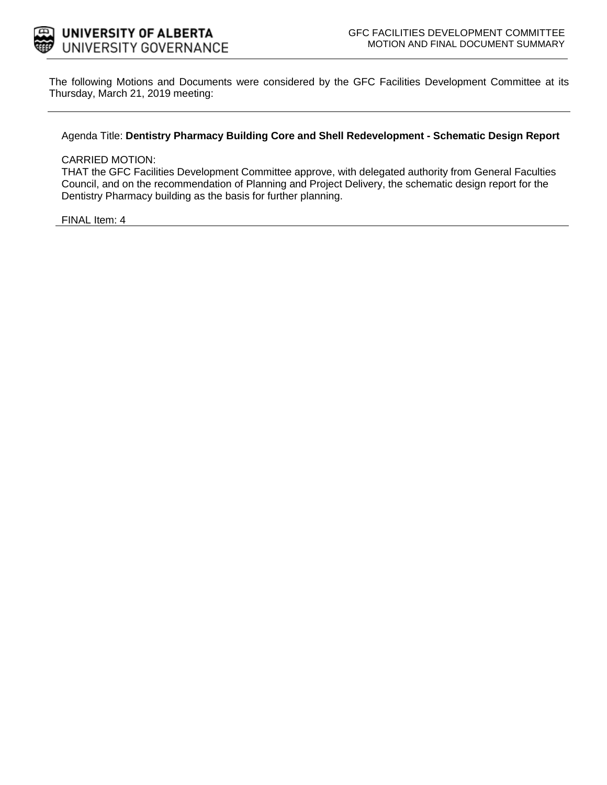

The following Motions and Documents were considered by the GFC Facilities Development Committee at its Thursday, March 21, 2019 meeting:

Agenda Title: **Dentistry Pharmacy Building Core and Shell Redevelopment - Schematic Design Report**

#### CARRIED MOTION:

THAT the GFC Facilities Development Committee approve, with delegated authority from General Faculties Council, and on the recommendation of Planning and Project Delivery, the schematic design report for the Dentistry Pharmacy building as the basis for further planning.

FINAL Item: 4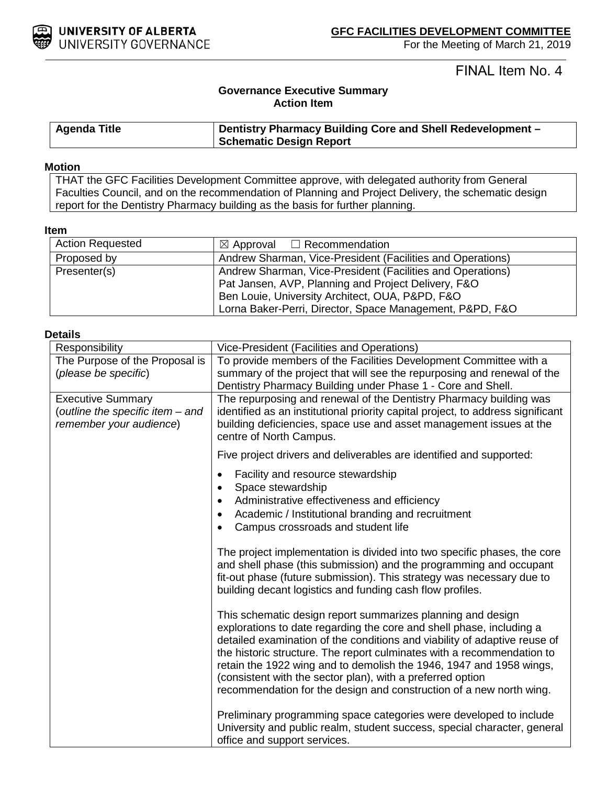

# FINAL Item No. 4

### **Governance Executive Summary Action Item**

| <b>Agenda Title</b> | Dentistry Pharmacy Building Core and Shell Redevelopment - |  |
|---------------------|------------------------------------------------------------|--|
|                     | <b>Schematic Design Report</b>                             |  |

#### **Motion**

THAT the GFC Facilities Development Committee approve, with delegated authority from General Faculties Council, and on the recommendation of Planning and Project Delivery, the schematic design report for the Dentistry Pharmacy building as the basis for further planning.

### **Item**

| <b>Action Requested</b> | $\boxtimes$ Approval $\Box$ Recommendation                 |  |
|-------------------------|------------------------------------------------------------|--|
| Proposed by             | Andrew Sharman, Vice-President (Facilities and Operations) |  |
| Presenter(s)            | Andrew Sharman, Vice-President (Facilities and Operations) |  |
|                         | Pat Jansen, AVP, Planning and Project Delivery, F&O        |  |
|                         | Ben Louie, University Architect, OUA, P&PD, F&O            |  |
|                         | Lorna Baker-Perri, Director, Space Management, P&PD, F&O   |  |

#### **Details**

| Responsibility                                                                          | Vice-President (Facilities and Operations)                                                                                                                                                                                                                                                                                                                                                                                                                                                             |  |
|-----------------------------------------------------------------------------------------|--------------------------------------------------------------------------------------------------------------------------------------------------------------------------------------------------------------------------------------------------------------------------------------------------------------------------------------------------------------------------------------------------------------------------------------------------------------------------------------------------------|--|
| The Purpose of the Proposal is                                                          | To provide members of the Facilities Development Committee with a                                                                                                                                                                                                                                                                                                                                                                                                                                      |  |
| (please be specific)                                                                    | summary of the project that will see the repurposing and renewal of the<br>Dentistry Pharmacy Building under Phase 1 - Core and Shell.                                                                                                                                                                                                                                                                                                                                                                 |  |
| <b>Executive Summary</b><br>(outline the specific item - and<br>remember your audience) | The repurposing and renewal of the Dentistry Pharmacy building was<br>identified as an institutional priority capital project, to address significant<br>building deficiencies, space use and asset management issues at the<br>centre of North Campus.                                                                                                                                                                                                                                                |  |
|                                                                                         | Five project drivers and deliverables are identified and supported:                                                                                                                                                                                                                                                                                                                                                                                                                                    |  |
|                                                                                         | Facility and resource stewardship<br>$\bullet$<br>Space stewardship<br>$\bullet$<br>Administrative effectiveness and efficiency<br>$\bullet$<br>Academic / Institutional branding and recruitment<br>$\bullet$<br>Campus crossroads and student life<br>$\bullet$                                                                                                                                                                                                                                      |  |
|                                                                                         | The project implementation is divided into two specific phases, the core<br>and shell phase (this submission) and the programming and occupant<br>fit-out phase (future submission). This strategy was necessary due to<br>building decant logistics and funding cash flow profiles.                                                                                                                                                                                                                   |  |
|                                                                                         | This schematic design report summarizes planning and design<br>explorations to date regarding the core and shell phase, including a<br>detailed examination of the conditions and viability of adaptive reuse of<br>the historic structure. The report culminates with a recommendation to<br>retain the 1922 wing and to demolish the 1946, 1947 and 1958 wings,<br>(consistent with the sector plan), with a preferred option<br>recommendation for the design and construction of a new north wing. |  |
|                                                                                         | Preliminary programming space categories were developed to include<br>University and public realm, student success, special character, general<br>office and support services.                                                                                                                                                                                                                                                                                                                         |  |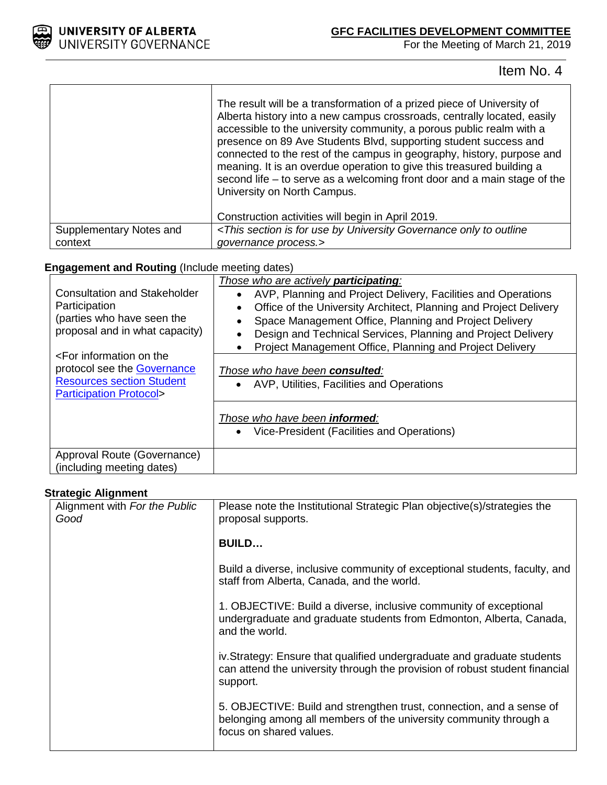

 $\Gamma$ 

For the Meeting of March 21, 2019

Item No. 4

|                         | The result will be a transformation of a prized piece of University of<br>Alberta history into a new campus crossroads, centrally located, easily<br>accessible to the university community, a porous public realm with a<br>presence on 89 Ave Students Blvd, supporting student success and<br>connected to the rest of the campus in geography, history, purpose and<br>meaning. It is an overdue operation to give this treasured building a<br>second life – to serve as a welcoming front door and a main stage of the<br>University on North Campus.<br>Construction activities will begin in April 2019. |
|-------------------------|------------------------------------------------------------------------------------------------------------------------------------------------------------------------------------------------------------------------------------------------------------------------------------------------------------------------------------------------------------------------------------------------------------------------------------------------------------------------------------------------------------------------------------------------------------------------------------------------------------------|
| Supplementary Notes and | <this by="" for="" governance="" is="" only="" outline<="" section="" td="" to="" university="" use=""></this>                                                                                                                                                                                                                                                                                                                                                                                                                                                                                                   |
| context                 | governance process.>                                                                                                                                                                                                                                                                                                                                                                                                                                                                                                                                                                                             |

### **Engagement and Routing** (Include meeting dates)

 $\overline{\mathsf{T}}$ 

| <b>Consultation and Stakeholder</b><br>Participation<br>(parties who have seen the<br>proposal and in what capacity)<br><for information="" on="" the<br="">protocol see the Governance<br/><b>Resources section Student</b><br/><b>Participation Protocol&gt;</b></for> | Those who are actively <b>participating</b> :<br>AVP, Planning and Project Delivery, Facilities and Operations<br>Office of the University Architect, Planning and Project Delivery<br>Space Management Office, Planning and Project Delivery<br>Design and Technical Services, Planning and Project Delivery<br>Project Management Office, Planning and Project Delivery<br>Those who have been consulted:<br>AVP, Utilities, Facilities and Operations<br>Those who have been <b>informed</b> :<br>• Vice-President (Facilities and Operations) |
|--------------------------------------------------------------------------------------------------------------------------------------------------------------------------------------------------------------------------------------------------------------------------|---------------------------------------------------------------------------------------------------------------------------------------------------------------------------------------------------------------------------------------------------------------------------------------------------------------------------------------------------------------------------------------------------------------------------------------------------------------------------------------------------------------------------------------------------|
| Approval Route (Governance)<br>(including meeting dates)                                                                                                                                                                                                                 |                                                                                                                                                                                                                                                                                                                                                                                                                                                                                                                                                   |

### **Strategic Alignment**

| Alignment with For the Public<br>Good | Please note the Institutional Strategic Plan objective(s)/strategies the<br>proposal supports.                                                                       |
|---------------------------------------|----------------------------------------------------------------------------------------------------------------------------------------------------------------------|
|                                       | <b>BUILD</b>                                                                                                                                                         |
|                                       | Build a diverse, inclusive community of exceptional students, faculty, and<br>staff from Alberta, Canada, and the world.                                             |
|                                       | 1. OBJECTIVE: Build a diverse, inclusive community of exceptional<br>undergraduate and graduate students from Edmonton, Alberta, Canada,<br>and the world.           |
|                                       | iv. Strategy: Ensure that qualified undergraduate and graduate students<br>can attend the university through the provision of robust student financial<br>support.   |
|                                       | 5. OBJECTIVE: Build and strengthen trust, connection, and a sense of<br>belonging among all members of the university community through a<br>focus on shared values. |
|                                       |                                                                                                                                                                      |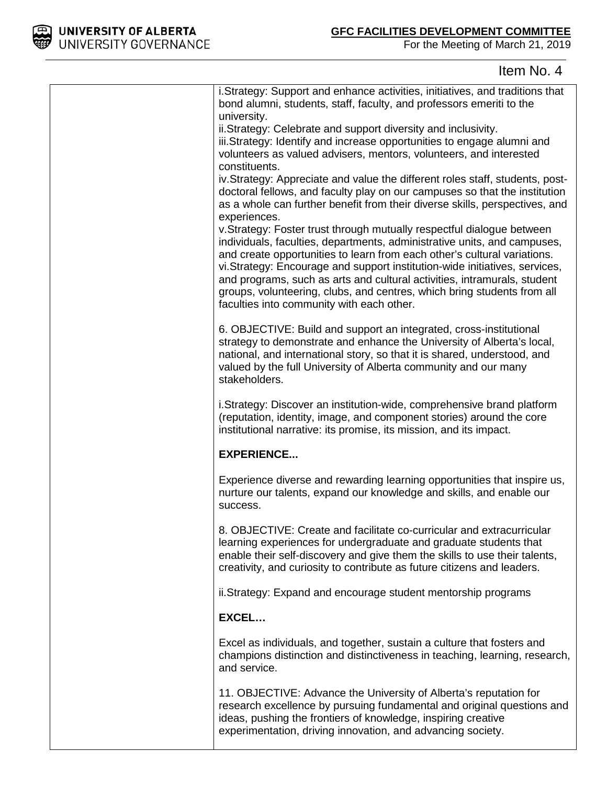

| i. Strategy: Support and enhance activities, initiatives, and traditions that<br>bond alumni, students, staff, faculty, and professors emeriti to the<br>university.                                                                                                                                                                                                                                                                                                                                             |
|------------------------------------------------------------------------------------------------------------------------------------------------------------------------------------------------------------------------------------------------------------------------------------------------------------------------------------------------------------------------------------------------------------------------------------------------------------------------------------------------------------------|
| ii.Strategy: Celebrate and support diversity and inclusivity.                                                                                                                                                                                                                                                                                                                                                                                                                                                    |
| iii.Strategy: Identify and increase opportunities to engage alumni and                                                                                                                                                                                                                                                                                                                                                                                                                                           |
| volunteers as valued advisers, mentors, volunteers, and interested<br>constituents.                                                                                                                                                                                                                                                                                                                                                                                                                              |
| iv. Strategy: Appreciate and value the different roles staff, students, post-                                                                                                                                                                                                                                                                                                                                                                                                                                    |
| doctoral fellows, and faculty play on our campuses so that the institution<br>as a whole can further benefit from their diverse skills, perspectives, and                                                                                                                                                                                                                                                                                                                                                        |
| experiences.                                                                                                                                                                                                                                                                                                                                                                                                                                                                                                     |
| v.Strategy: Foster trust through mutually respectful dialogue between<br>individuals, faculties, departments, administrative units, and campuses,<br>and create opportunities to learn from each other's cultural variations.<br>vi. Strategy: Encourage and support institution-wide initiatives, services,<br>and programs, such as arts and cultural activities, intramurals, student<br>groups, volunteering, clubs, and centres, which bring students from all<br>faculties into community with each other. |
| 6. OBJECTIVE: Build and support an integrated, cross-institutional                                                                                                                                                                                                                                                                                                                                                                                                                                               |
| strategy to demonstrate and enhance the University of Alberta's local,                                                                                                                                                                                                                                                                                                                                                                                                                                           |
| national, and international story, so that it is shared, understood, and<br>valued by the full University of Alberta community and our many                                                                                                                                                                                                                                                                                                                                                                      |
| stakeholders.                                                                                                                                                                                                                                                                                                                                                                                                                                                                                                    |
| i. Strategy: Discover an institution-wide, comprehensive brand platform                                                                                                                                                                                                                                                                                                                                                                                                                                          |
| (reputation, identity, image, and component stories) around the core                                                                                                                                                                                                                                                                                                                                                                                                                                             |
| institutional narrative: its promise, its mission, and its impact.                                                                                                                                                                                                                                                                                                                                                                                                                                               |
| <b>EXPERIENCE</b>                                                                                                                                                                                                                                                                                                                                                                                                                                                                                                |
| Experience diverse and rewarding learning opportunities that inspire us,<br>nurture our talents, expand our knowledge and skills, and enable our<br>success.                                                                                                                                                                                                                                                                                                                                                     |
| 8. OBJECTIVE: Create and facilitate co-curricular and extracurricular                                                                                                                                                                                                                                                                                                                                                                                                                                            |
| learning experiences for undergraduate and graduate students that<br>enable their self-discovery and give them the skills to use their talents,<br>creativity, and curiosity to contribute as future citizens and leaders.                                                                                                                                                                                                                                                                                       |
| ii.Strategy: Expand and encourage student mentorship programs                                                                                                                                                                                                                                                                                                                                                                                                                                                    |
| EXCEL                                                                                                                                                                                                                                                                                                                                                                                                                                                                                                            |
| Excel as individuals, and together, sustain a culture that fosters and                                                                                                                                                                                                                                                                                                                                                                                                                                           |
| champions distinction and distinctiveness in teaching, learning, research,<br>and service.                                                                                                                                                                                                                                                                                                                                                                                                                       |
| 11. OBJECTIVE: Advance the University of Alberta's reputation for                                                                                                                                                                                                                                                                                                                                                                                                                                                |
| research excellence by pursuing fundamental and original questions and<br>ideas, pushing the frontiers of knowledge, inspiring creative                                                                                                                                                                                                                                                                                                                                                                          |
| experimentation, driving innovation, and advancing society.                                                                                                                                                                                                                                                                                                                                                                                                                                                      |
|                                                                                                                                                                                                                                                                                                                                                                                                                                                                                                                  |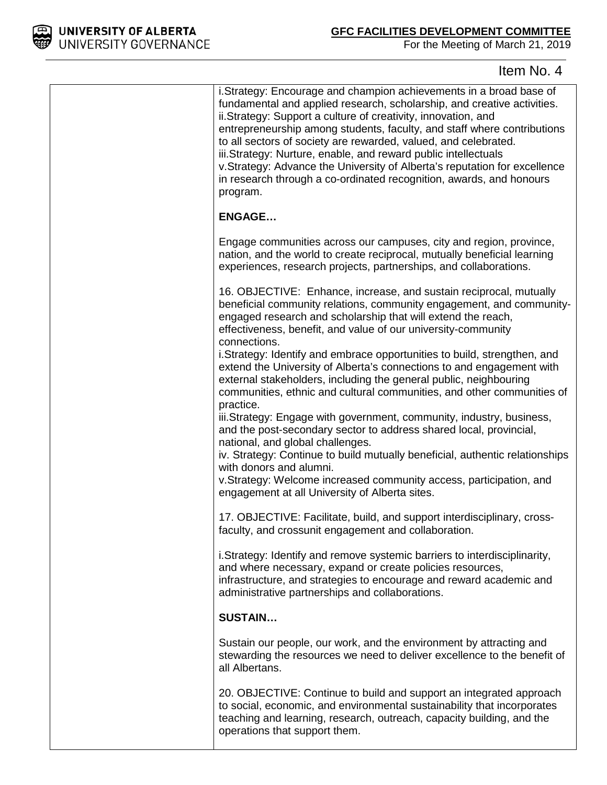

| i.Strategy: Encourage and champion achievements in a broad base of<br>fundamental and applied research, scholarship, and creative activities.<br>ii. Strategy: Support a culture of creativity, innovation, and<br>entrepreneurship among students, faculty, and staff where contributions<br>to all sectors of society are rewarded, valued, and celebrated.<br>iii.Strategy: Nurture, enable, and reward public intellectuals<br>v.Strategy: Advance the University of Alberta's reputation for excellence<br>in research through a co-ordinated recognition, awards, and honours<br>program. |
|-------------------------------------------------------------------------------------------------------------------------------------------------------------------------------------------------------------------------------------------------------------------------------------------------------------------------------------------------------------------------------------------------------------------------------------------------------------------------------------------------------------------------------------------------------------------------------------------------|
| <b>ENGAGE</b>                                                                                                                                                                                                                                                                                                                                                                                                                                                                                                                                                                                   |
| Engage communities across our campuses, city and region, province,<br>nation, and the world to create reciprocal, mutually beneficial learning<br>experiences, research projects, partnerships, and collaborations.                                                                                                                                                                                                                                                                                                                                                                             |
| 16. OBJECTIVE: Enhance, increase, and sustain reciprocal, mutually<br>beneficial community relations, community engagement, and community-<br>engaged research and scholarship that will extend the reach,<br>effectiveness, benefit, and value of our university-community<br>connections.                                                                                                                                                                                                                                                                                                     |
| i. Strategy: Identify and embrace opportunities to build, strengthen, and<br>extend the University of Alberta's connections to and engagement with<br>external stakeholders, including the general public, neighbouring<br>communities, ethnic and cultural communities, and other communities of<br>practice.                                                                                                                                                                                                                                                                                  |
| iii. Strategy: Engage with government, community, industry, business,<br>and the post-secondary sector to address shared local, provincial,<br>national, and global challenges.<br>iv. Strategy: Continue to build mutually beneficial, authentic relationships<br>with donors and alumni.<br>v.Strategy: Welcome increased community access, participation, and<br>engagement at all University of Alberta sites.                                                                                                                                                                              |
| 17. OBJECTIVE: Facilitate, build, and support interdisciplinary, cross-<br>faculty, and crossunit engagement and collaboration.                                                                                                                                                                                                                                                                                                                                                                                                                                                                 |
| i.Strategy: Identify and remove systemic barriers to interdisciplinarity,<br>and where necessary, expand or create policies resources,<br>infrastructure, and strategies to encourage and reward academic and<br>administrative partnerships and collaborations.                                                                                                                                                                                                                                                                                                                                |
| <b>SUSTAIN</b>                                                                                                                                                                                                                                                                                                                                                                                                                                                                                                                                                                                  |
| Sustain our people, our work, and the environment by attracting and<br>stewarding the resources we need to deliver excellence to the benefit of<br>all Albertans.                                                                                                                                                                                                                                                                                                                                                                                                                               |
| 20. OBJECTIVE: Continue to build and support an integrated approach<br>to social, economic, and environmental sustainability that incorporates<br>teaching and learning, research, outreach, capacity building, and the<br>operations that support them.                                                                                                                                                                                                                                                                                                                                        |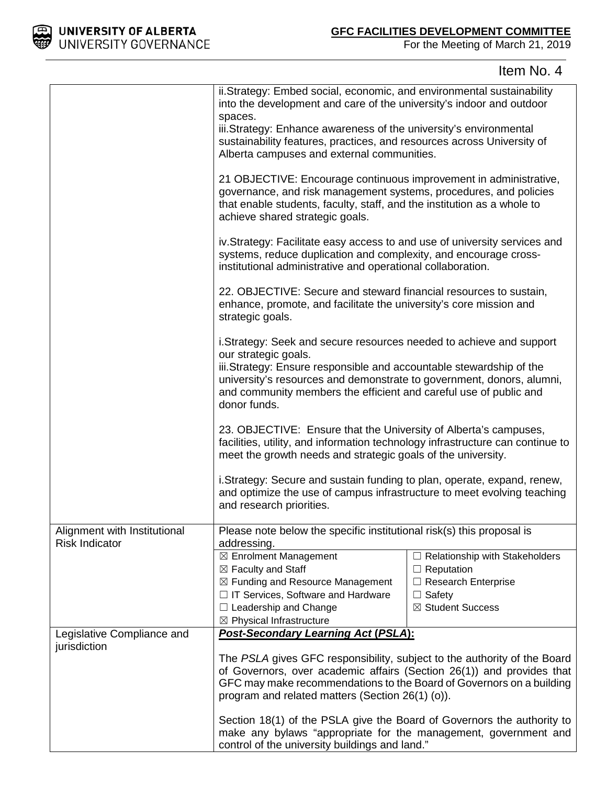

|                                                       | ii.Strategy: Embed social, economic, and environmental sustainability<br>into the development and care of the university's indoor and outdoor<br>spaces.<br>iii.Strategy: Enhance awareness of the university's environmental<br>sustainability features, practices, and resources across University of<br>Alberta campuses and external communities. |                                                                                                                         |
|-------------------------------------------------------|-------------------------------------------------------------------------------------------------------------------------------------------------------------------------------------------------------------------------------------------------------------------------------------------------------------------------------------------------------|-------------------------------------------------------------------------------------------------------------------------|
|                                                       | 21 OBJECTIVE: Encourage continuous improvement in administrative,<br>governance, and risk management systems, procedures, and policies<br>that enable students, faculty, staff, and the institution as a whole to<br>achieve shared strategic goals.                                                                                                  |                                                                                                                         |
|                                                       | iv. Strategy: Facilitate easy access to and use of university services and<br>systems, reduce duplication and complexity, and encourage cross-<br>institutional administrative and operational collaboration.                                                                                                                                         |                                                                                                                         |
|                                                       | 22. OBJECTIVE: Secure and steward financial resources to sustain,<br>enhance, promote, and facilitate the university's core mission and<br>strategic goals.                                                                                                                                                                                           |                                                                                                                         |
|                                                       | i. Strategy: Seek and secure resources needed to achieve and support<br>our strategic goals.<br>iii. Strategy: Ensure responsible and accountable stewardship of the<br>university's resources and demonstrate to government, donors, alumni,<br>and community members the efficient and careful use of public and<br>donor funds.                    |                                                                                                                         |
|                                                       | 23. OBJECTIVE: Ensure that the University of Alberta's campuses,<br>facilities, utility, and information technology infrastructure can continue to<br>meet the growth needs and strategic goals of the university.                                                                                                                                    |                                                                                                                         |
|                                                       | i.Strategy: Secure and sustain funding to plan, operate, expand, renew,<br>and optimize the use of campus infrastructure to meet evolving teaching<br>and research priorities.                                                                                                                                                                        |                                                                                                                         |
| Alignment with Institutional<br><b>Risk Indicator</b> | Please note below the specific institutional risk(s) this proposal is<br>addressing.                                                                                                                                                                                                                                                                  |                                                                                                                         |
|                                                       | ⊠ Enrolment Management<br>⊠ Faculty and Staff<br>⊠ Funding and Resource Management<br>$\Box$ IT Services, Software and Hardware<br>$\Box$ Leadership and Change<br>⊠ Physical Infrastructure                                                                                                                                                          | $\Box$ Relationship with Stakeholders<br>$\Box$ Reputation<br>Research Enterprise<br>$\Box$ Safety<br>⊠ Student Success |
| Legislative Compliance and                            | <b>Post-Secondary Learning Act (PSLA):</b><br>The PSLA gives GFC responsibility, subject to the authority of the Board<br>of Governors, over academic affairs (Section 26(1)) and provides that<br>GFC may make recommendations to the Board of Governors on a building<br>program and related matters (Section 26(1) (o)).                           |                                                                                                                         |
| jurisdiction                                          |                                                                                                                                                                                                                                                                                                                                                       |                                                                                                                         |
|                                                       | Section 18(1) of the PSLA give the Board of Governors the authority to<br>make any bylaws "appropriate for the management, government and<br>control of the university buildings and land."                                                                                                                                                           |                                                                                                                         |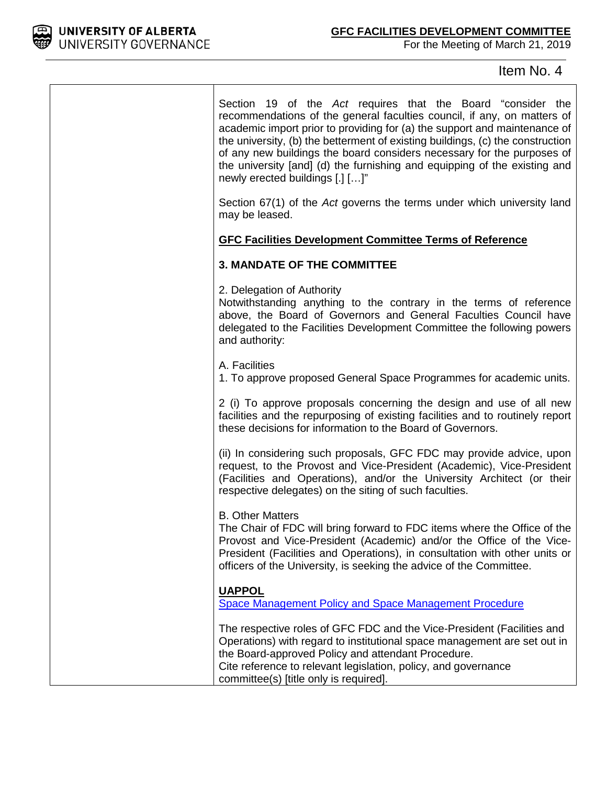

Т